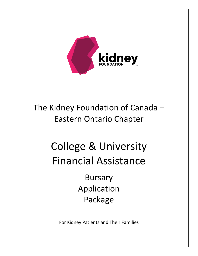

# The Kidney Foundation of Canada – Eastern Ontario Chapter

# College & University Financial Assistance

Bursary Application Package

For Kidney Patients and Their Families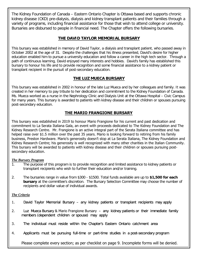The Kidney Foundation of Canada – Eastern Ontario Chapter is Ottawa based and supports chronic kidney disease (CKD) pre-dialysis, dialysis and kidney transplant patients and their families through a variety of programs, including financial assistance for those that wish to attend college or university. Bursaries are disbursed to people in financial need. The Chapter offers the following bursaries.

#### **THE DAVID TAYLOR MEMORIAL BURSARY**

This bursary was established in memory of David Taylor, a dialysis and transplant patient, who passed away in October 2002 at the age of 31. Despite the challenges that his illness presented, David's desire for higher education enabled him to pursue a university education and follow a career in the high tech sector. Through a path of continuous learning, David enjoyed many interests and hobbies. David's family has established this bursary to honour his life and to provide recognition and some financial assistance to a kidney patient or transplant recipient in the pursuit of post-secondary education.

#### **THE LUZ MUECA BURSARY**

This bursary was established in 2002 in honour of the late Luz Mueca and by her colleagues and family. It was created in her memory to pay tribute to her dedication and commitment to the Kidney Foundation of Canada. Ms. Mueca worked as a nurse in the Nephrology Clinic and Dialysis Unit at the Ottawa Hospital – Civic Campus for many years. This bursary is awarded to patients with kidney disease and their children or spouses pursuing post-secondary education.

#### **THE MARIO FRANGIONE BURSARY**

This bursary was established in 2019 to honour Mario Frangione for his current and past dedication and commitment to La Serata Italiana Gala, an event with proceeds dedicated to The Kidney Foundation and The Kidney Research Centre. Mr. Frangione is an active integral part of the Serata Italiana committee and has helped raise over \$1.5 million over the past 35 years. Mario is looking forward to retiring from his family business, Preston Hardware. Mario's generosity doesn't stop at La Serata Italiana, The Kidney Foundation and Kidney Research Centre; his generosity is well recognized with many other charities in the Italian Community. This bursary will be awarded to patients with kidney disease and their children or spouses pursuing postsecondary education.

#### *The Bursary Program*

- 1. The purpose of this program is to provide recognition and limited assistance to kidney patients or transplant recipients who wish to further their education and/or training.
- 2. The bursaries range in value from \$300 \$1500. Total funds available are up to **\$1,500 for each bursary** at the committee's discretion. The Bursary Selection Committee may choose the number of recipients and dollar value of individual awards.

#### *The Criteria*

- 1. David Taylor Memorial Bursary any kidney patients or transplant recipients may apply
- 2. Luz Mueca Bursary & Mario Frangione Bursary any kidney patients or their immediate family members (dependent children or spouse) may apply
- 3. The individual must reside within the Chapter's Eastern Ontario catchment area
- 4. Applicants must be pursuing full-time or part-time studies in a post-secondary program

Please complete every section; as per checklist on page 9. Incomplete forms will be denied.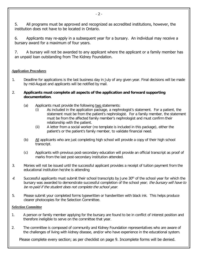5. All programs must be approved and recognized as accredited institutions, however, the institution does not have to be located in Ontario.

6. Applicants may re-apply in a subsequent year for a bursary. An individual may receive a bursary award for a maximum of four years.

7. A bursary will not be awarded to any applicant where the applicant or a family member has an unpaid loan outstanding from The Kidney Foundation.

#### *Application Procedures*

- 1. Deadline for applications is the last business day in July of any given year. Final decisions will be made by mid-August and applicants will be notified by mail.
- 2. **Applicants must complete all aspects of the application and forward supporting documentation**.
	- (a) Applicants must provide the following two statements:
		- (i) As included in the application package, a nephrologist's statement. For a patient, the statement must be from the patient's nephrologist. For a family member, the statement must be from the affected family member's nephrologist and must confirm their relationship with the patient.
		- (ii) A letter from a social worker (no template is included in this package), either the patient's or the patient's family member, to validate financial need.
	- (b) All applicants who are just completing high school will provide a copy of their high school transcript.
	- (c) Applicants with previous post-secondary education will provide an official transcript as proof of marks from the last post-secondary institution attended.
- 3. Monies will not be issued until the successful applicant provides a receipt of tuition payment from the educational institution he/she is attending
- 4. Successful applicants must submit their school transcripts by June 30<sup>th</sup> of the school year for which the bursary was awarded to demonstrate successful completion of the school year; the bursary will have to be re-paid if the student does not complete the school year.
- 5. Please submit your completed forms typewritten or handwritten with black ink. This helps produce clearer photocopies for the Selection Committee.

#### *Selection Committee*

- 1. A person or family member applying for the bursary are found to be in conflict of interest position and therefore ineligible to serve on the committee that year.
- 2. The committee is composed of community and Kidney Foundation representatives who are aware of the challenges of living with kidney disease, and/or who have experience in the educational system.

Please complete every section; as per checklist on page 9. Incomplete forms will be denied.

- 2 -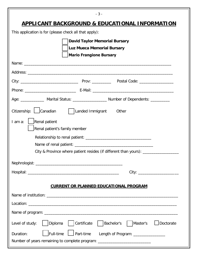| $-3-$                                                                                        |  |  |  |  |
|----------------------------------------------------------------------------------------------|--|--|--|--|
| <u>APPLICANT BACKGROUND &amp; EDUCATIONAL INFORMATION</u>                                    |  |  |  |  |
| This application is for (please check all that apply):                                       |  |  |  |  |
| <b>David Taylor Memorial Bursary</b>                                                         |  |  |  |  |
| <b>Luz Mueca Memorial Bursary</b>                                                            |  |  |  |  |
| <b>Mario Frangione Bursary</b>                                                               |  |  |  |  |
|                                                                                              |  |  |  |  |
|                                                                                              |  |  |  |  |
|                                                                                              |  |  |  |  |
|                                                                                              |  |  |  |  |
| Age: ______________ Marital Status: ______________________ Number of Dependents: ___________ |  |  |  |  |
| Citizenship: Canadian   Landed Immigrant<br>Other                                            |  |  |  |  |
| Renal patient<br>I am a:                                                                     |  |  |  |  |
| Renal patient's family member                                                                |  |  |  |  |
|                                                                                              |  |  |  |  |
|                                                                                              |  |  |  |  |
| City & Province where patient resides (if different than yours): _______________             |  |  |  |  |
|                                                                                              |  |  |  |  |
|                                                                                              |  |  |  |  |
| <b>CURRENT OR PLANNED EDUCATIONAL PROGRAM</b>                                                |  |  |  |  |
|                                                                                              |  |  |  |  |
|                                                                                              |  |  |  |  |
|                                                                                              |  |  |  |  |
|                                                                                              |  |  |  |  |
| Diploma<br>Certificate<br>  Master's<br>Doctorate<br>Level of study:<br>Bachelor's           |  |  |  |  |
| Full-time<br>Part-time<br>Duration:<br>Length of Program: ________________                   |  |  |  |  |
| Number of years remaining to complete program: _________________________________             |  |  |  |  |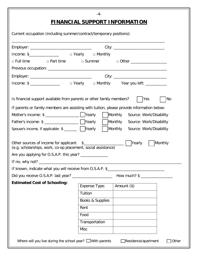### **FINANCIAL SUPPORT INFORMATION**

-4-

| Current occupation (including summer/contract/temporary positions):                        |                  |                                                |
|--------------------------------------------------------------------------------------------|------------------|------------------------------------------------|
|                                                                                            |                  |                                                |
|                                                                                            |                  |                                                |
| □ Full time                                                                                |                  | □ Part time □ Summer □ Other _________________ |
|                                                                                            |                  |                                                |
|                                                                                            |                  |                                                |
| Income: \$ ___________________ □ Yearly   □ Monthly    Year you left: ___________          |                  |                                                |
| Is financial support available from parents or other family members?                       |                  | Yes<br> No                                     |
| If parents or family members are assisting with tuition, please provide information below: |                  | Monthly<br>Source: Work/Disability             |
|                                                                                            |                  | Monthly Source: Work/Disability                |
| Spouse's income, if applicable: \$ _______   Mearly                                        |                  | Monthly<br>Source: Work/Disability             |
|                                                                                            |                  |                                                |
| (e.g. scholarships, work, co-op placement, social assistance)                              |                  | Monthly                                        |
|                                                                                            |                  |                                                |
|                                                                                            |                  |                                                |
| If known, indicate what you will receive from O.S.A.P. \$                                  |                  |                                                |
| Did you receive O.S.A.P. last year? _______________________                                |                  |                                                |
| <b>Estimated Cost of Schooling:</b>                                                        | Expense Type:    | Amount (\$)                                    |
|                                                                                            | Tuition          |                                                |
|                                                                                            | Books & Supplies |                                                |
|                                                                                            | Rent             |                                                |
|                                                                                            | Food             |                                                |
|                                                                                            | Transportation   |                                                |
|                                                                                            | <b>Misc</b>      |                                                |
| Where will you live during the school year? $\Box$ With parents                            |                  | $\Box$ Residence/apartment<br>Other            |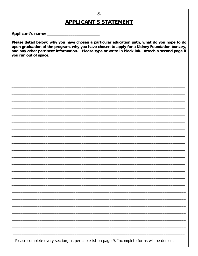#### $-5-$

#### **APPLICANT'S STATEMENT**

Please detail below: why you have chosen a particular education path, what do you hope to do upon graduation of the program, why you have chosen to apply for a Kidney Foundation bursary, and any other pertinent information. Please type or write in black ink. Attach a second page if you run out of space.

Please complete every section; as per checklist on page 9. Incomplete forms will be denied.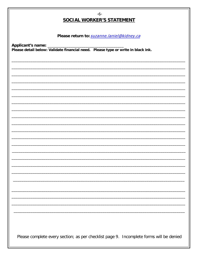| $-6-$<br><b>SOCIAL WORKER'S STATEMENT</b>                                               |
|-----------------------------------------------------------------------------------------|
| Please return to: suzanne.laniel@kidney.ca                                              |
|                                                                                         |
|                                                                                         |
|                                                                                         |
|                                                                                         |
|                                                                                         |
|                                                                                         |
|                                                                                         |
|                                                                                         |
|                                                                                         |
|                                                                                         |
|                                                                                         |
| Please complete every section; as per checklist page 9. Incomplete forms will be denied |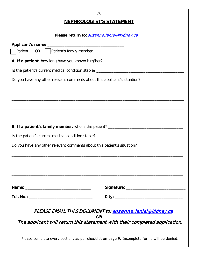| $-7-$                                                                                       |
|---------------------------------------------------------------------------------------------|
| <b>NEPHROLOGIST'S STATEMENT</b>                                                             |
| Please return to: suzanne.laniel@kidney.ca                                                  |
|                                                                                             |
| OR   Patient's family member<br>Patient                                                     |
|                                                                                             |
|                                                                                             |
| Do you have any other relevant comments about this applicant's situation?                   |
|                                                                                             |
|                                                                                             |
|                                                                                             |
|                                                                                             |
| B. If a patient's family member, who is the patient? ____________________________           |
|                                                                                             |
| Do you have any other relevant comments about this patient's situation?                     |
|                                                                                             |
|                                                                                             |
|                                                                                             |
|                                                                                             |
|                                                                                             |
|                                                                                             |
|                                                                                             |
| PLEASE EMAIL THIS DOCUMENT to: suzanne.laniel@kidney.ca<br>OR                               |
| The applicant will return this statement with their completed application.                  |
| Please complete every section; as per checklist on page 9. Incomplete forms will be denied. |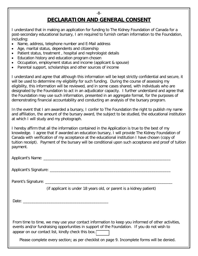## **DECLARATION AND GENERAL CONSENT**

-8-

I understand that in making an application for funding to The Kidney Foundation of Canada for a post-secondary educational bursary, I am required to furnish certain information to the Foundation, including:

- Name, address, telephone number and E-Mail address
- Age, marital status, dependents and citizenship
- Patient status, treatment , hospital and nephrologist details
- Education history and education program chosen
- Occupation, employment status and income (applicant & spouse)
- Parental support, scholarships and other sources of income

I understand and agree that although this information will be kept strictly confidential and secure, it will be used to determine my eligibility for such funding. During the course of assessing my eligibility, this information will be reviewed, and in some cases shared, with individuals who are designated by the Foundation to act in an adjudicator capacity. I further understand and agree that the Foundation may use such information, presented in an aggregate format, for the purposes of demonstrating financial accountability and conducting an analysis of the bursary program.

In the event that I am awarded a bursary, I confer to The Foundation the right to publish my name and affiliation, the amount of the bursary award, the subject to be studied, the educational institution at which I will study and my photograph.

I hereby affirm that all the information contained in the Application is true to the best of my knowledge. I agree that if awarded an education bursary, I will provide The Kidney Foundation of Canada with verification of my acceptance at the educational institution I have chosen (copy of tuition receipt). Payment of the bursary will be conditional upon such acceptance and proof of tuition payment.

Applicant's Name: \_\_\_\_\_\_\_\_\_\_\_\_\_\_\_\_\_\_\_\_\_\_\_\_\_\_\_\_\_\_\_\_\_\_\_\_\_\_\_\_\_\_\_\_\_\_\_\_\_\_\_\_\_\_\_\_\_\_\_\_

Applicant's Signature: \_\_\_\_\_\_\_\_\_\_\_\_\_\_\_\_\_\_\_\_\_\_\_\_\_\_\_\_\_\_\_\_\_\_\_\_\_\_\_\_\_\_\_\_\_\_\_\_\_\_\_\_\_\_\_\_\_

Parent's Signature: \_\_\_\_\_\_\_\_\_\_\_\_\_\_\_\_\_\_\_\_\_\_\_\_\_\_\_\_\_\_\_\_\_\_\_\_\_\_\_\_\_\_\_\_\_\_\_\_\_\_\_\_\_\_\_\_\_\_\_\_

(if applicant is under 18 years old, or parent is a kidney patient)

Date:

From time to time, we may use your contact information to keep you informed of other activities, events and/or fundraising opportunities in support of the Foundation. If you do not wish to appear on our contact list, kindly check this box. [

Please complete every section; as per checklist on page 9. Incomplete forms will be denied.